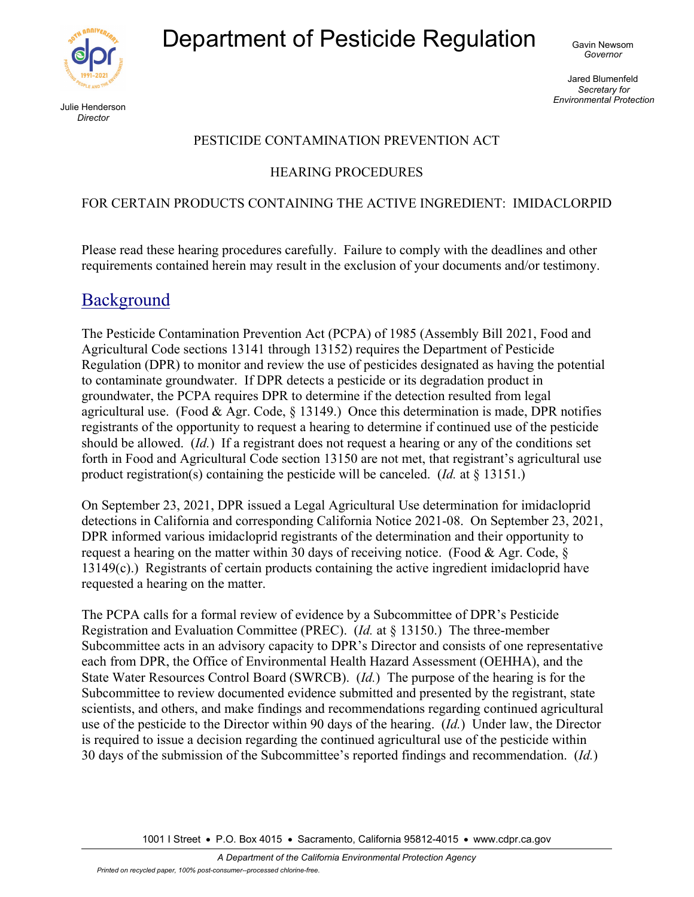Department of Pesticide Regulation Gavin Newsom



Julie Henderson *Director* 

Jared Blumenfeld *Secretary for Environmental Protection* 

#### PESTICIDE CONTAMINATION PREVENTION ACT

#### HEARING PROCEDURES

#### FOR CERTAIN PRODUCTS CONTAINING THE ACTIVE INGREDIENT: IMIDACLORPID

Please read these hearing procedures carefully. Failure to comply with the deadlines and other requirements contained herein may result in the exclusion of your documents and/or testimony.

### Background

The Pesticide Contamination Prevention Act (PCPA) of 1985 (Assembly Bill 2021, Food and Agricultural Code sections 13141 through 13152) requires the Department of Pesticide Regulation (DPR) to monitor and review the use of pesticides designated as having the potential to contaminate groundwater. If DPR detects a pesticide or its degradation product in groundwater, the PCPA requires DPR to determine if the detection resulted from legal agricultural use. (Food & Agr. Code,  $\S$  13149.) Once this determination is made, DPR notifies registrants of the opportunity to request a hearing to determine if continued use of the pesticide should be allowed. (*Id.*) If a registrant does not request a hearing or any of the conditions set forth in Food and Agricultural Code section 13150 are not met, that registrant's agricultural use product registration(s) containing the pesticide will be canceled. (*Id.* at § 13151.)

On September 23, 2021, DPR issued a Legal Agricultural Use determination for imidacloprid detections in California and corresponding California Notice 2021-08. On September 23, 2021, DPR informed various imidacloprid registrants of the determination and their opportunity to request a hearing on the matter within 30 days of receiving notice. (Food & Agr. Code,  $\S$ 13149(c).) Registrants of certain products containing the active ingredient imidacloprid have requested a hearing on the matter.

The PCPA calls for a formal review of evidence by a Subcommittee of DPR's Pesticide Registration and Evaluation Committee (PREC). (*Id.* at § 13150.) The three-member Subcommittee acts in an advisory capacity to DPR's Director and consists of one representative each from DPR, the Office of Environmental Health Hazard Assessment (OEHHA), and the State Water Resources Control Board (SWRCB). (*Id.*)The purpose of the hearing is for the Subcommittee to review documented evidence submitted and presented by the registrant, state scientists, and others, and make findings and recommendations regarding continued agricultural use of the pesticide to the Director within 90 days of the hearing. (*Id.*)Under law, the Director is required to issue a decision regarding the continued agricultural use of the pesticide within 30 days of the submission of the Subcommittee's reported findings and recommendation. (*Id.*)

1001 I Street • P.O. Box 4015 • Sacramento, California 95812-4015 • www.cdpr.ca.gov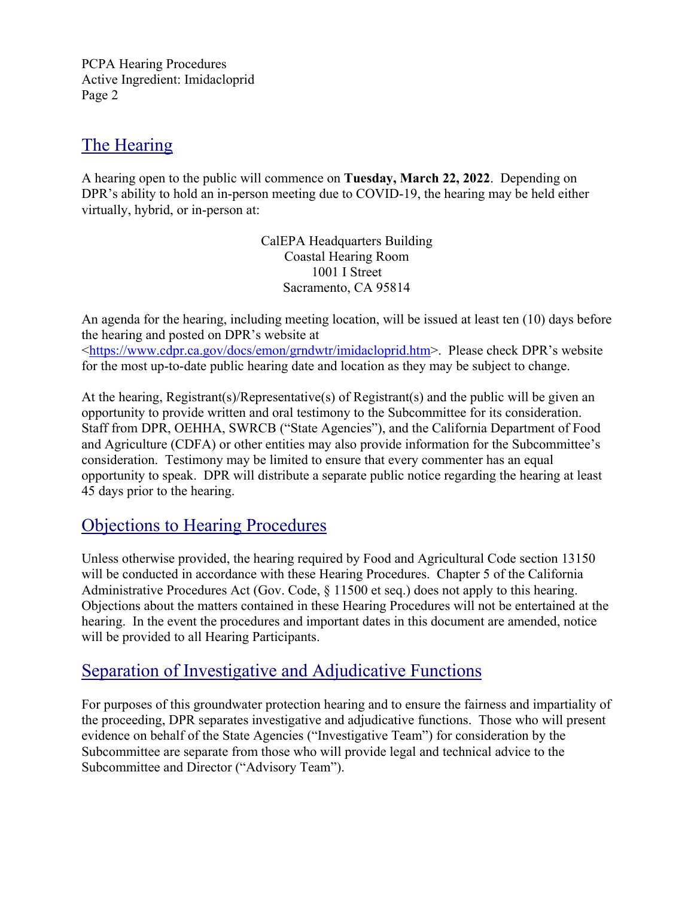## The Hearing

A hearing open to the public will commence on **Tuesday, March 22, 2022**. Depending on DPR's ability to hold an in-person meeting due to COVID-19, the hearing may be held either virtually, hybrid, or in-person at:

> CalEPA Headquarters Building Coastal Hearing Room 1001 I Street Sacramento, CA 95814

An agenda for the hearing, including meeting location, will be issued at least ten (10) days before the hearing and posted on DPR's website at [<https://www.cdpr.ca.gov/docs/emon/grndwtr/imidacloprid.htm>](https://www.cdpr.ca.gov/docs/emon/grndwtr/imidacloprid.htm). Please check DPR's website for the most up-to-date public hearing date and location as they may be subject to change.

At the hearing, Registrant(s)/Representative(s) of Registrant(s) and the public will be given an opportunity to provide written and oral testimony to the Subcommittee for its consideration. Staff from DPR, OEHHA, SWRCB ("State Agencies"), and the California Department of Food and Agriculture (CDFA) or other entities may also provide information for the Subcommittee's consideration. Testimony may be limited to ensure that every commenter has an equal opportunity to speak. DPR will distribute a separate public notice regarding the hearing at least 45 days prior to the hearing.

# Objections to Hearing Procedures

Unless otherwise provided, the hearing required by Food and Agricultural Code section 13150 will be conducted in accordance with these Hearing Procedures. Chapter 5 of the California Administrative Procedures Act (Gov. Code, § 11500 et seq.) does not apply to this hearing. Objections about the matters contained in these Hearing Procedures will not be entertained at the hearing. In the event the procedures and important dates in this document are amended, notice will be provided to all Hearing Participants.

## Separation of Investigative and Adjudicative Functions

For purposes of this groundwater protection hearing and to ensure the fairness and impartiality of the proceeding, DPR separates investigative and adjudicative functions. Those who will present evidence on behalf of the State Agencies ("Investigative Team") for consideration by the Subcommittee are separate from those who will provide legal and technical advice to the Subcommittee and Director ("Advisory Team").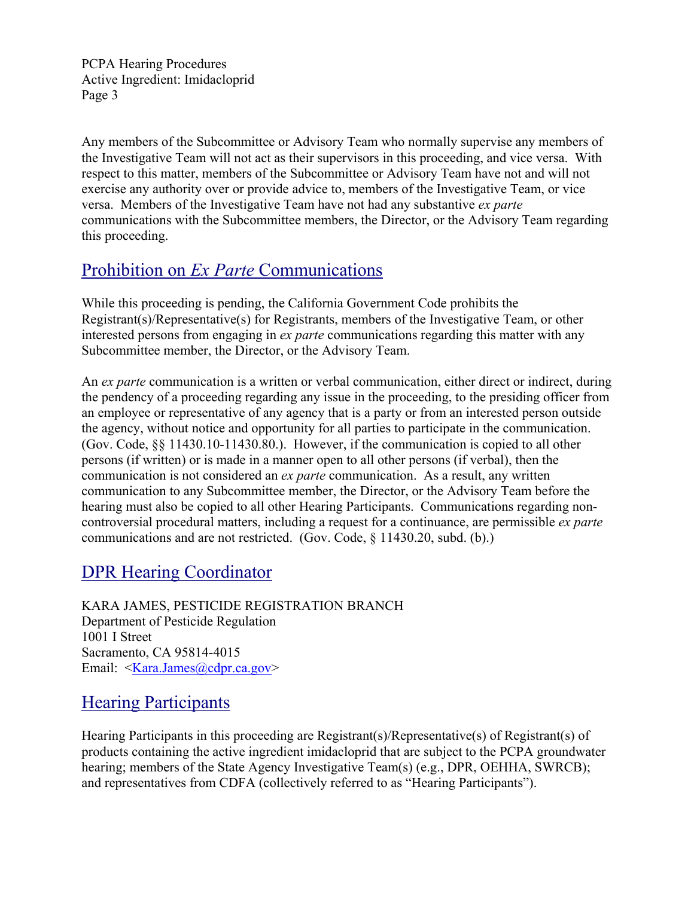Any members of the Subcommittee or Advisory Team who normally supervise any members of the Investigative Team will not act as their supervisors in this proceeding, and vice versa. With respect to this matter, members of the Subcommittee or Advisory Team have not and will not exercise any authority over or provide advice to, members of the Investigative Team, or vice versa. Members of the Investigative Team have not had any substantive *ex parte*  communications with the Subcommittee members, the Director, or the Advisory Team regarding this proceeding.

## Prohibition on *Ex Parte* Communications

While this proceeding is pending, the California Government Code prohibits the Registrant(s)/Representative(s) for Registrants, members of the Investigative Team, or other interested persons from engaging in *ex parte* communications regarding this matter with any Subcommittee member, the Director, or the Advisory Team.

An *ex parte* communication is a written or verbal communication, either direct or indirect, during the pendency of a proceeding regarding any issue in the proceeding, to the presiding officer from an employee or representative of any agency that is a party or from an interested person outside the agency, without notice and opportunity for all parties to participate in the communication. (Gov. Code, §§ 11430.10-11430.80.). However, if the communication is copied to all other persons (if written) or is made in a manner open to all other persons (if verbal), then the communication is not considered an *ex parte* communication. As a result, any written communication to any Subcommittee member, the Director, or the Advisory Team before the hearing must also be copied to all other Hearing Participants. Communications regarding noncontroversial procedural matters, including a request for a continuance, are permissible *ex parte* communications and are not restricted. (Gov. Code, § 11430.20, subd. (b).)

# DPR Hearing Coordinator

KARA JAMES, PESTICIDE REGISTRATION BRANCH Department of Pesticide Regulation 1001 I Street Sacramento, CA 95814-4015 Email: [<Kara.James@cdpr.ca.gov>](mailto:Kara.James@cdpr.ca.gov)

# Hearing Participants

Hearing Participants in this proceeding are Registrant(s)/Representative(s) of Registrant(s) of products containing the active ingredient imidacloprid that are subject to the PCPA groundwater hearing; members of the State Agency Investigative Team(s) (e.g., DPR, OEHHA, SWRCB); and representatives from CDFA (collectively referred to as "Hearing Participants").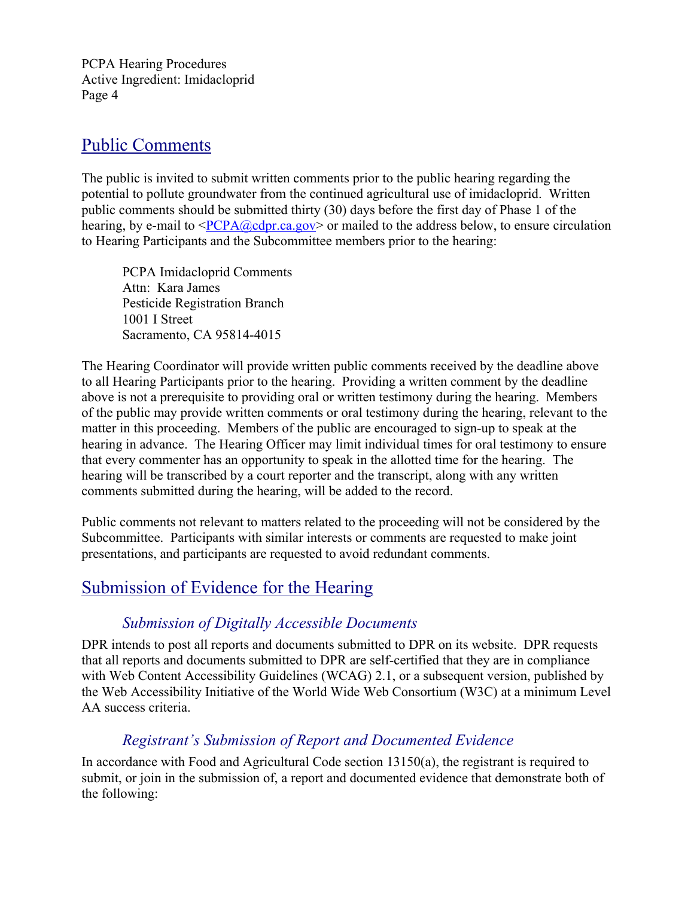### Public Comments

The public is invited to submit written comments prior to the public hearing regarding the potential to pollute groundwater from the continued agricultural use of imidacloprid. Written public comments should be submitted thirty (30) days before the first day of Phase 1 of the hearing, by e-mail to  $\langle PCPA@cdpr.ca.gov\rangle$  or mailed to the address below, to ensure circulation to Hearing Participants and the Subcommittee members prior to the hearing:

PCPA Imidacloprid Comments Attn: Kara James Pesticide Registration Branch 1001 I Street Sacramento, CA 95814-4015

The Hearing Coordinator will provide written public comments received by the deadline above to all Hearing Participants prior to the hearing. Providing a written comment by the deadline above is not a prerequisite to providing oral or written testimony during the hearing. Members of the public may provide written comments or oral testimony during the hearing, relevant to the matter in this proceeding. Members of the public are encouraged to sign-up to speak at the hearing in advance. The Hearing Officer may limit individual times for oral testimony to ensure that every commenter has an opportunity to speak in the allotted time for the hearing. The hearing will be transcribed by a court reporter and the transcript, along with any written comments submitted during the hearing, will be added to the record.

Public comments not relevant to matters related to the proceeding will not be considered by the Subcommittee. Participants with similar interests or comments are requested to make joint presentations, and participants are requested to avoid redundant comments.

### Submission of Evidence for the Hearing

### *Submission of Digitally Accessible Documents*

DPR intends to post all reports and documents submitted to DPR on its website. DPR requests that all reports and documents submitted to DPR are self-certified that they are in compliance with Web Content Accessibility Guidelines (WCAG) 2.1, or a subsequent version, published by the Web Accessibility Initiative of the World Wide Web Consortium (W3C) at a minimum Level AA success criteria.

### *Registrant's Submission of Report and Documented Evidence*

In accordance with Food and Agricultural Code section 13150(a), the registrant is required to submit, or join in the submission of, a report and documented evidence that demonstrate both of the following: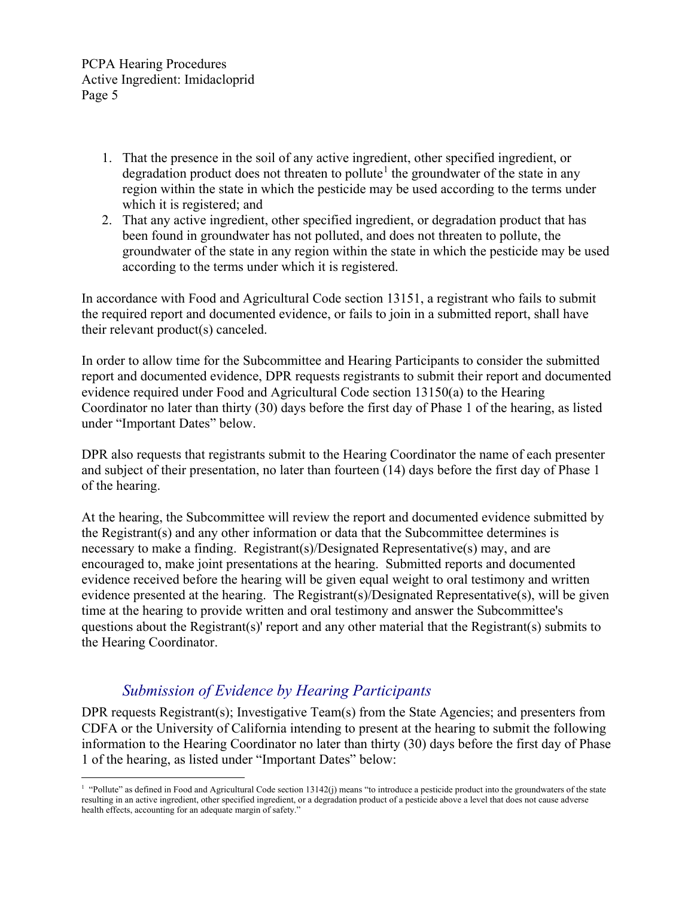- 1. That the presence in the soil of any active ingredient, other specified ingredient, or degradation product does not threaten to pollute<sup>1</sup> the groundwater of the state in any region within the state in which the pesticide may be used according to the terms under which it is registered; and
- 2. That any active ingredient, other specified ingredient, or degradation product that has been found in groundwater has not polluted, and does not threaten to pollute, the groundwater of the state in any region within the state in which the pesticide may be used according to the terms under which it is registered.

In accordance with Food and Agricultural Code section 13151, a registrant who fails to submit the required report and documented evidence, or fails to join in a submitted report, shall have their relevant product(s) canceled.

In order to allow time for the Subcommittee and Hearing Participants to consider the submitted report and documented evidence, DPR requests registrants to submit their report and documented evidence required under Food and Agricultural Code section 13150(a) to the Hearing Coordinator no later than thirty (30) days before the first day of Phase 1 of the hearing, as listed under "Important Dates" below.

DPR also requests that registrants submit to the Hearing Coordinator the name of each presenter and subject of their presentation, no later than fourteen (14) days before the first day of Phase 1 of the hearing.

At the hearing, the Subcommittee will review the report and documented evidence submitted by the Registrant(s) and any other information or data that the Subcommittee determines is necessary to make a finding. Registrant(s)/Designated Representative(s) may, and are encouraged to, make joint presentations at the hearing. Submitted reports and documented evidence received before the hearing will be given equal weight to oral testimony and written evidence presented at the hearing. The Registrant(s)/Designated Representative(s), will be given time at the hearing to provide written and oral testimony and answer the Subcommittee's questions about the Registrant(s)' report and any other material that the Registrant(s) submits to the Hearing Coordinator.

#### *Submission of Evidence by Hearing Participants*

DPR requests Registrant(s); Investigative Team(s) from the State Agencies; and presenters from CDFA or the University of California intending to present at the hearing to submit the following information to the Hearing Coordinator no later than thirty (30) days before the first day of Phase 1 of the hearing, as listed under "Important Dates" below:

 $\overline{a}$ <sup>1</sup> "Pollute" as defined in Food and Agricultural Code section 13142(j) means "to introduce a pesticide product into the groundwaters of the state resulting in an active ingredient, other specified ingredient, or a degradation product of a pesticide above a level that does not cause adverse health effects, accounting for an adequate margin of safety."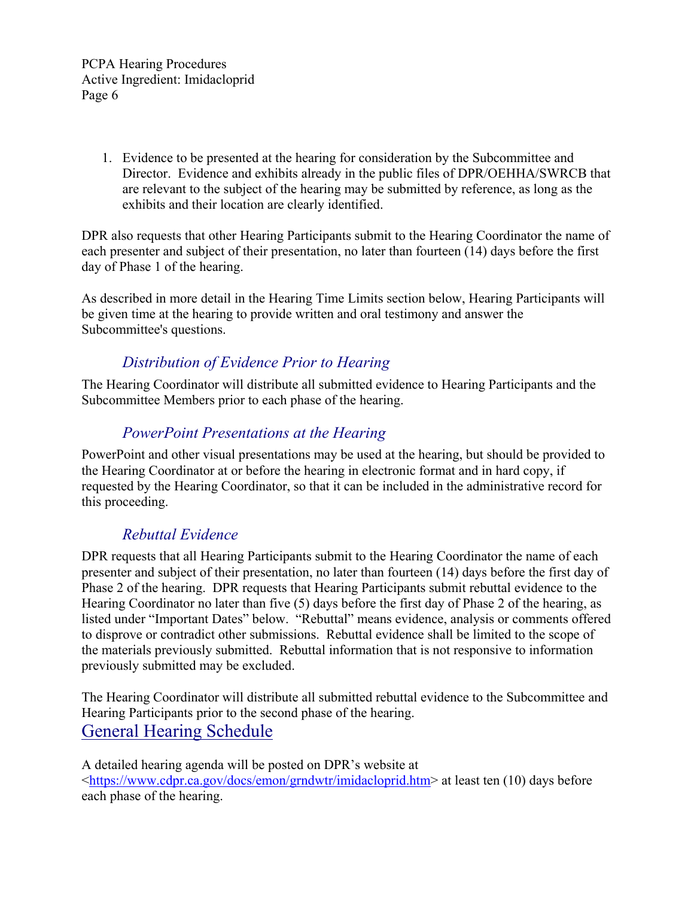> 1. Evidence to be presented at the hearing for consideration by the Subcommittee and Director. Evidence and exhibits already in the public files of DPR/OEHHA/SWRCB that are relevant to the subject of the hearing may be submitted by reference, as long as the exhibits and their location are clearly identified.

DPR also requests that other Hearing Participants submit to the Hearing Coordinator the name of each presenter and subject of their presentation, no later than fourteen (14) days before the first day of Phase 1 of the hearing.

As described in more detail in the Hearing Time Limits section below, Hearing Participants will be given time at the hearing to provide written and oral testimony and answer the Subcommittee's questions.

### *Distribution of Evidence Prior to Hearing*

The Hearing Coordinator will distribute all submitted evidence to Hearing Participants and the Subcommittee Members prior to each phase of the hearing.

### *PowerPoint Presentations at the Hearing*

PowerPoint and other visual presentations may be used at the hearing, but should be provided to the Hearing Coordinator at or before the hearing in electronic format and in hard copy, if requested by the Hearing Coordinator, so that it can be included in the administrative record for this proceeding.

### *Rebuttal Evidence*

DPR requests that all Hearing Participants submit to the Hearing Coordinator the name of each presenter and subject of their presentation, no later than fourteen (14) days before the first day of Phase 2 of the hearing. DPR requests that Hearing Participants submit rebuttal evidence to the Hearing Coordinator no later than five (5) days before the first day of Phase 2 of the hearing, as listed under "Important Dates" below. "Rebuttal" means evidence, analysis or comments offered to disprove or contradict other submissions. Rebuttal evidence shall be limited to the scope of the materials previously submitted. Rebuttal information that is not responsive to information previously submitted may be excluded.

The Hearing Coordinator will distribute all submitted rebuttal evidence to the Subcommittee and Hearing Participants prior to the second phase of the hearing. General Hearing Schedule

A detailed hearing agenda will be posted on DPR's website at [<https://www.cdpr.ca.gov/docs/emon/grndwtr/imidacloprid.htm>](https://www.cdpr.ca.gov/docs/emon/grndwtr/imidacloprid.htm) at least ten (10) days before each phase of the hearing.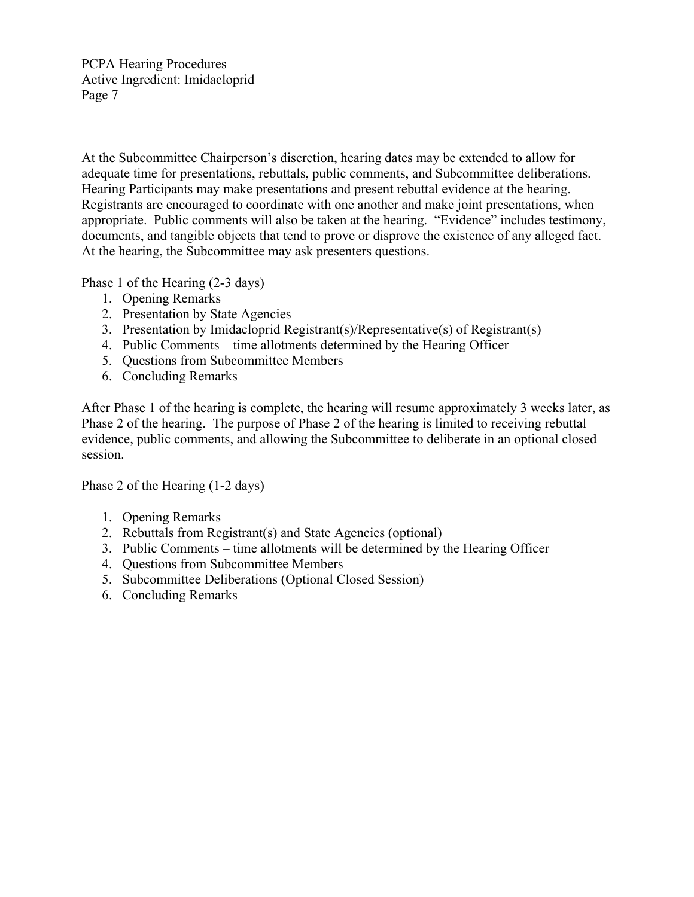At the Subcommittee Chairperson's discretion, hearing dates may be extended to allow for adequate time for presentations, rebuttals, public comments, and Subcommittee deliberations. Hearing Participants may make presentations and present rebuttal evidence at the hearing. Registrants are encouraged to coordinate with one another and make joint presentations, when appropriate. Public comments will also be taken at the hearing. "Evidence" includes testimony, documents, and tangible objects that tend to prove or disprove the existence of any alleged fact. At the hearing, the Subcommittee may ask presenters questions.

Phase 1 of the Hearing (2-3 days)

- 1. Opening Remarks
- 2. Presentation by State Agencies
- 3. Presentation by Imidacloprid Registrant(s)/Representative(s) of Registrant(s)
- 4. Public Comments time allotments determined by the Hearing Officer
- 5. Questions from Subcommittee Members
- 6. Concluding Remarks

After Phase 1 of the hearing is complete, the hearing will resume approximately 3 weeks later, as Phase 2 of the hearing. The purpose of Phase 2 of the hearing is limited to receiving rebuttal evidence, public comments, and allowing the Subcommittee to deliberate in an optional closed session.

#### Phase 2 of the Hearing (1-2 days)

- 1. Opening Remarks
- 2. Rebuttals from Registrant(s) and State Agencies (optional)
- 3. Public Comments time allotments will be determined by the Hearing Officer
- 4. Questions from Subcommittee Members
- 5. Subcommittee Deliberations (Optional Closed Session)
- 6. Concluding Remarks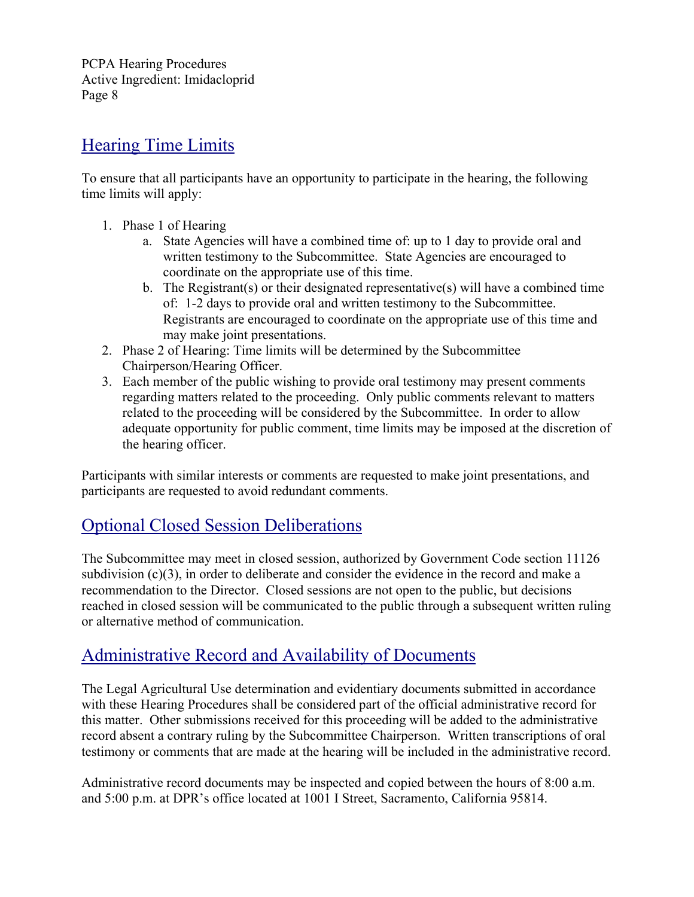## Hearing Time Limits

To ensure that all participants have an opportunity to participate in the hearing, the following time limits will apply:

- 1. Phase 1 of Hearing
	- a. State Agencies will have a combined time of: up to 1 day to provide oral and written testimony to the Subcommittee. State Agencies are encouraged to coordinate on the appropriate use of this time.
	- b. The Registrant(s) or their designated representative(s) will have a combined time of: 1-2 days to provide oral and written testimony to the Subcommittee. Registrants are encouraged to coordinate on the appropriate use of this time and may make joint presentations.
- 2. Phase 2 of Hearing: Time limits will be determined by the Subcommittee Chairperson/Hearing Officer.
- 3. Each member of the public wishing to provide oral testimony may present comments regarding matters related to the proceeding. Only public comments relevant to matters related to the proceeding will be considered by the Subcommittee. In order to allow adequate opportunity for public comment, time limits may be imposed at the discretion of the hearing officer.

Participants with similar interests or comments are requested to make joint presentations, and participants are requested to avoid redundant comments.

# Optional Closed Session Deliberations

The Subcommittee may meet in closed session, authorized by Government Code section 11126 subdivision (c)(3), in order to deliberate and consider the evidence in the record and make a recommendation to the Director. Closed sessions are not open to the public, but decisions reached in closed session will be communicated to the public through a subsequent written ruling or alternative method of communication.

# Administrative Record and Availability of Documents

The Legal Agricultural Use determination and evidentiary documents submitted in accordance with these Hearing Procedures shall be considered part of the official administrative record for this matter. Other submissions received for this proceeding will be added to the administrative record absent a contrary ruling by the Subcommittee Chairperson. Written transcriptions of oral testimony or comments that are made at the hearing will be included in the administrative record.

Administrative record documents may be inspected and copied between the hours of 8:00 a.m. and 5:00 p.m. at DPR's office located at 1001 I Street, Sacramento, California 95814.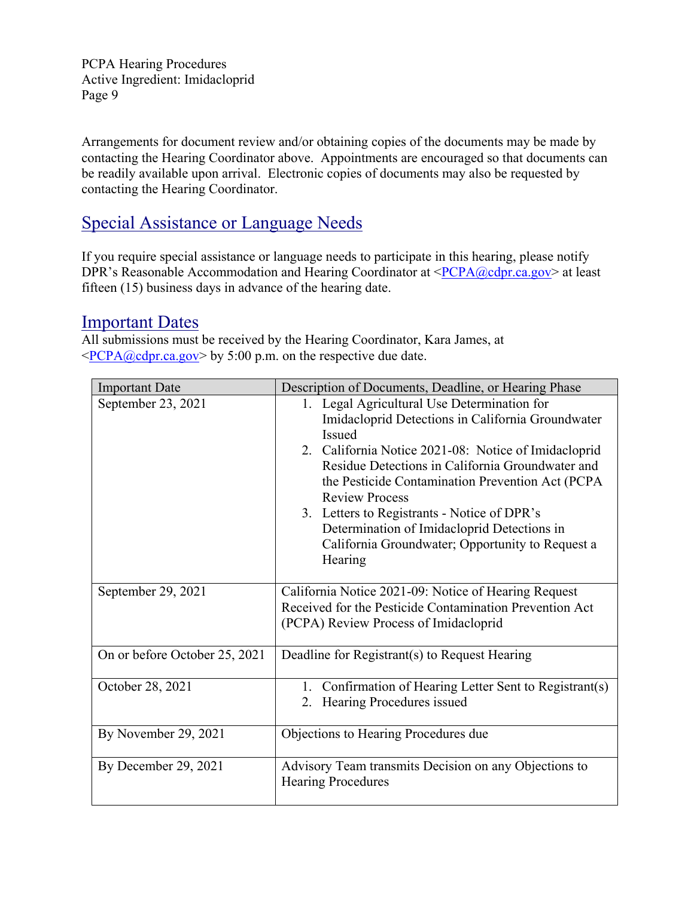Arrangements for document review and/or obtaining copies of the documents may be made by contacting the Hearing Coordinator above. Appointments are encouraged so that documents can be readily available upon arrival. Electronic copies of documents may also be requested by contacting the Hearing Coordinator.

# Special Assistance or Language Needs

If you require special assistance or language needs to participate in this hearing, please notify DPR's Reasonable Accommodation and Hearing Coordinator at  $\langle PCPA@cdpr.ca.gov\rangle$  at least fifteen (15) business days in advance of the hearing date.

#### Important Dates

All submissions must be received by the Hearing Coordinator, Kara James, at  $\langle PCPA@cdpr.ca.gov\rangle$  by 5:00 p.m. on the respective due date.

| <b>Important Date</b>         | Description of Documents, Deadline, or Hearing Phase                                                                                                                                                                                                                                                                                                                                                                                                                    |
|-------------------------------|-------------------------------------------------------------------------------------------------------------------------------------------------------------------------------------------------------------------------------------------------------------------------------------------------------------------------------------------------------------------------------------------------------------------------------------------------------------------------|
| September 23, 2021            | 1. Legal Agricultural Use Determination for<br>Imidacloprid Detections in California Groundwater<br><b>Issued</b><br>2. California Notice 2021-08: Notice of Imidacloprid<br>Residue Detections in California Groundwater and<br>the Pesticide Contamination Prevention Act (PCPA<br><b>Review Process</b><br>3. Letters to Registrants - Notice of DPR's<br>Determination of Imidacloprid Detections in<br>California Groundwater; Opportunity to Request a<br>Hearing |
| September 29, 2021            | California Notice 2021-09: Notice of Hearing Request<br>Received for the Pesticide Contamination Prevention Act<br>(PCPA) Review Process of Imidacloprid                                                                                                                                                                                                                                                                                                                |
| On or before October 25, 2021 | Deadline for Registrant(s) to Request Hearing                                                                                                                                                                                                                                                                                                                                                                                                                           |
| October 28, 2021              | 1. Confirmation of Hearing Letter Sent to Registrant(s)<br>Hearing Procedures issued<br>2.                                                                                                                                                                                                                                                                                                                                                                              |
| By November 29, 2021          | Objections to Hearing Procedures due                                                                                                                                                                                                                                                                                                                                                                                                                                    |
| By December 29, 2021          | Advisory Team transmits Decision on any Objections to<br><b>Hearing Procedures</b>                                                                                                                                                                                                                                                                                                                                                                                      |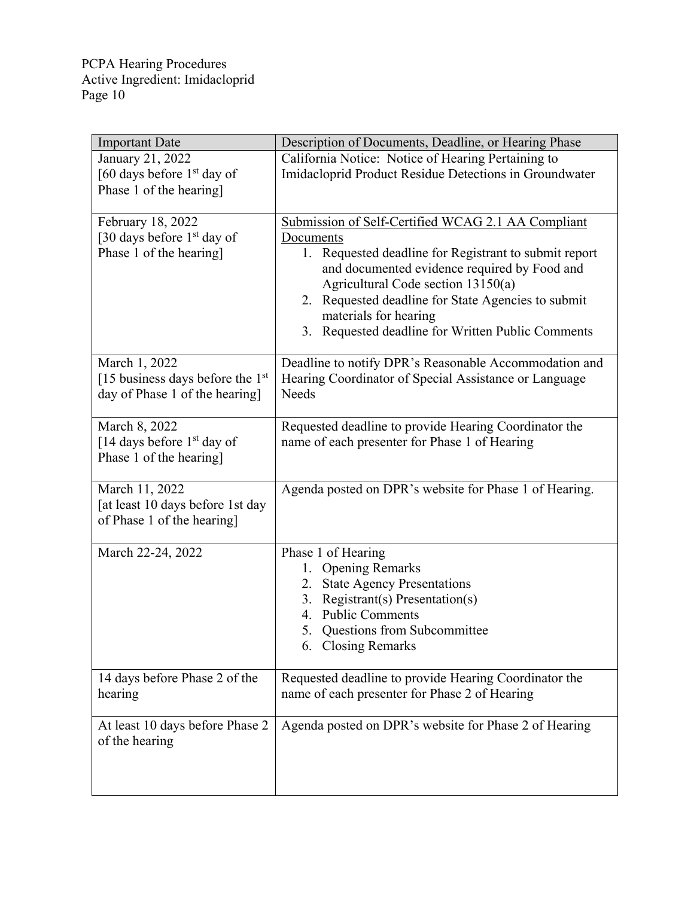| <b>Important Date</b>              | Description of Documents, Deadline, or Hearing Phase   |
|------------------------------------|--------------------------------------------------------|
| January 21, 2022                   | California Notice: Notice of Hearing Pertaining to     |
| [60 days before $1st$ day of       | Imidacloprid Product Residue Detections in Groundwater |
| Phase 1 of the hearing]            |                                                        |
|                                    |                                                        |
| February 18, 2022                  | Submission of Self-Certified WCAG 2.1 AA Compliant     |
| [30 days before $1st$ day of       | Documents                                              |
| Phase 1 of the hearing]            | 1. Requested deadline for Registrant to submit report  |
|                                    | and documented evidence required by Food and           |
|                                    | Agricultural Code section 13150(a)                     |
|                                    | 2. Requested deadline for State Agencies to submit     |
|                                    | materials for hearing                                  |
|                                    | 3. Requested deadline for Written Public Comments      |
| March 1, 2022                      | Deadline to notify DPR's Reasonable Accommodation and  |
| [15 business days before the $1st$ | Hearing Coordinator of Special Assistance or Language  |
| day of Phase 1 of the hearing]     | <b>Needs</b>                                           |
|                                    |                                                        |
| March 8, 2022                      | Requested deadline to provide Hearing Coordinator the  |
| [14 days before $1st$ day of       | name of each presenter for Phase 1 of Hearing          |
| Phase 1 of the hearing]            |                                                        |
|                                    |                                                        |
| March 11, 2022                     | Agenda posted on DPR's website for Phase 1 of Hearing. |
| [at least 10 days before 1st day   |                                                        |
| of Phase 1 of the hearing]         |                                                        |
|                                    |                                                        |
| March 22-24, 2022                  | Phase 1 of Hearing                                     |
|                                    | <b>Opening Remarks</b><br>1.                           |
|                                    | <b>State Agency Presentations</b><br>2.                |
|                                    | 3. Registrant(s) Presentation(s)<br>4. Public Comments |
|                                    |                                                        |
|                                    | Questions from Subcommittee<br>5.                      |
|                                    | 6. Closing Remarks                                     |
| 14 days before Phase 2 of the      | Requested deadline to provide Hearing Coordinator the  |
| hearing                            | name of each presenter for Phase 2 of Hearing          |
|                                    |                                                        |
| At least 10 days before Phase 2    | Agenda posted on DPR's website for Phase 2 of Hearing  |
| of the hearing                     |                                                        |
|                                    |                                                        |
|                                    |                                                        |
|                                    |                                                        |